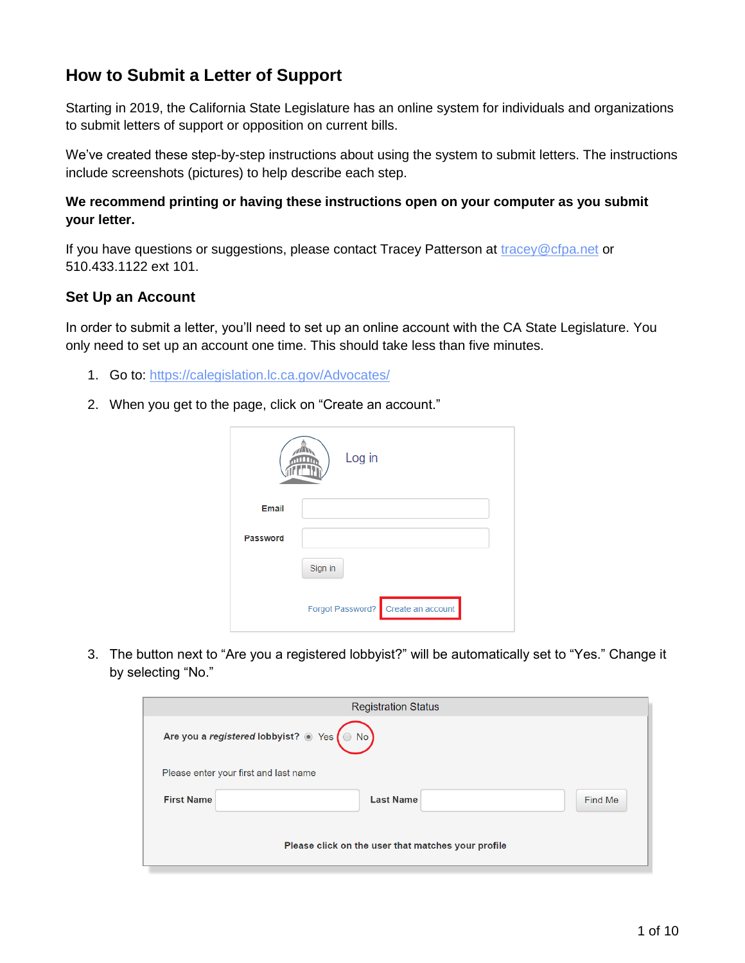# **How to Submit a Letter of Support**

Starting in 2019, the California State Legislature has an online system for individuals and organizations to submit letters of support or opposition on current bills.

We've created these step-by-step instructions about using the system to submit letters. The instructions include screenshots (pictures) to help describe each step.

### **We recommend printing or having these instructions open on your computer as you submit your letter.**

If you have questions or suggestions, please contact Tracey Patterson at [tracey@cfpa.net](mailto:tracey@cfpa.net) or 510.433.1122 ext 101.

## **Set Up an Account**

In order to submit a letter, you'll need to set up an online account with the CA State Legislature. You only need to set up an account one time. This should take less than five minutes.

- 1. Go to:<https://calegislation.lc.ca.gov/Advocates/>
- 2. When you get to the page, click on "Create an account."

|              | Log in                                |
|--------------|---------------------------------------|
| <b>Email</b> |                                       |
| Password     |                                       |
|              | Sign in                               |
|              | Create an account<br>Forgot Password? |

3. The button next to "Are you a registered lobbyist?" will be automatically set to "Yes." Change it by selecting "No."

|                                                       | <b>Registration Status</b>            |         |  |  |
|-------------------------------------------------------|---------------------------------------|---------|--|--|
| Are you a registered lobbyist? $\circ$ Yes $\circ$ No |                                       |         |  |  |
|                                                       | Please enter your first and last name |         |  |  |
| <b>First Name</b>                                     | <b>Last Name</b>                      | Find Me |  |  |
| Please click on the user that matches your profile    |                                       |         |  |  |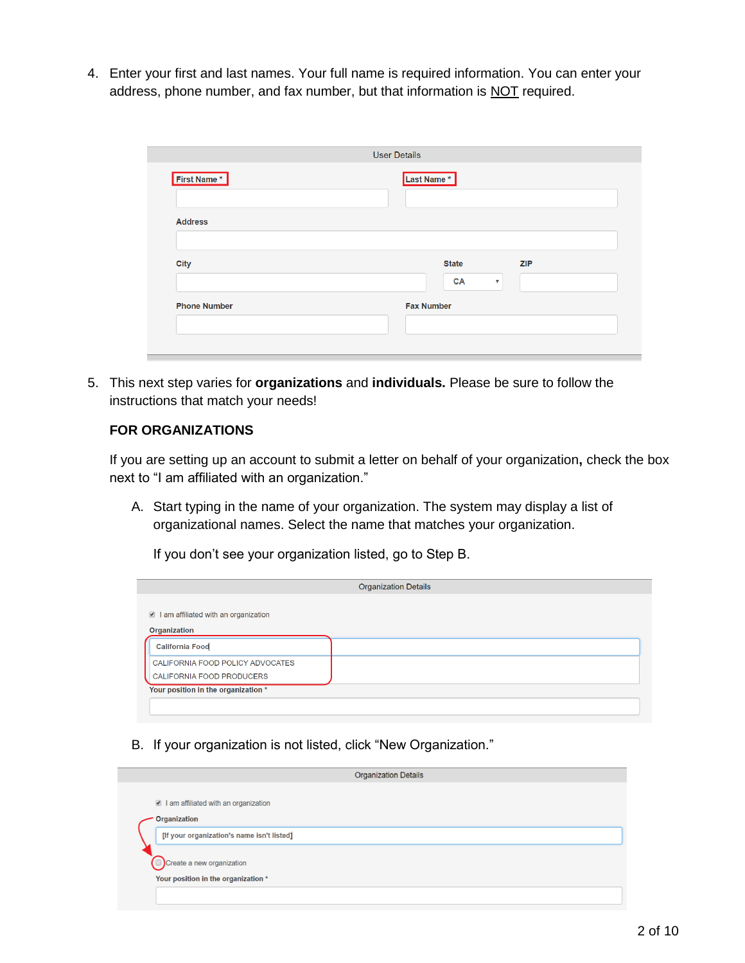4. Enter your first and last names. Your full name is required information. You can enter your address, phone number, and fax number, but that information is NOT required.

| First Name*         | Last Name*                             |  |  |
|---------------------|----------------------------------------|--|--|
| <b>Address</b>      |                                        |  |  |
| <b>City</b>         | <b>State</b><br><b>ZIP</b>             |  |  |
|                     | <b>CA</b><br>$\boldsymbol{\mathrm{v}}$ |  |  |
| <b>Phone Number</b> | <b>Fax Number</b>                      |  |  |

5. This next step varies for **organizations** and **individuals.** Please be sure to follow the instructions that match your needs!

## **FOR ORGANIZATIONS**

If you are setting up an account to submit a letter on behalf of your organization**,** check the box next to "I am affiliated with an organization."

A. Start typing in the name of your organization. The system may display a list of organizational names. Select the name that matches your organization.

If you don't see your organization listed, go to Step B.

|                                                               | <b>Organization Details</b> |
|---------------------------------------------------------------|-----------------------------|
| ■ I am affiliated with an organization                        |                             |
| <b>Organization</b>                                           |                             |
| <b>California Food</b>                                        |                             |
| CALIFORNIA FOOD POLICY ADVOCATES<br>CALIFORNIA FOOD PRODUCERS |                             |
| Your position in the organization *                           |                             |
|                                                               |                             |

B. If your organization is not listed, click "New Organization."

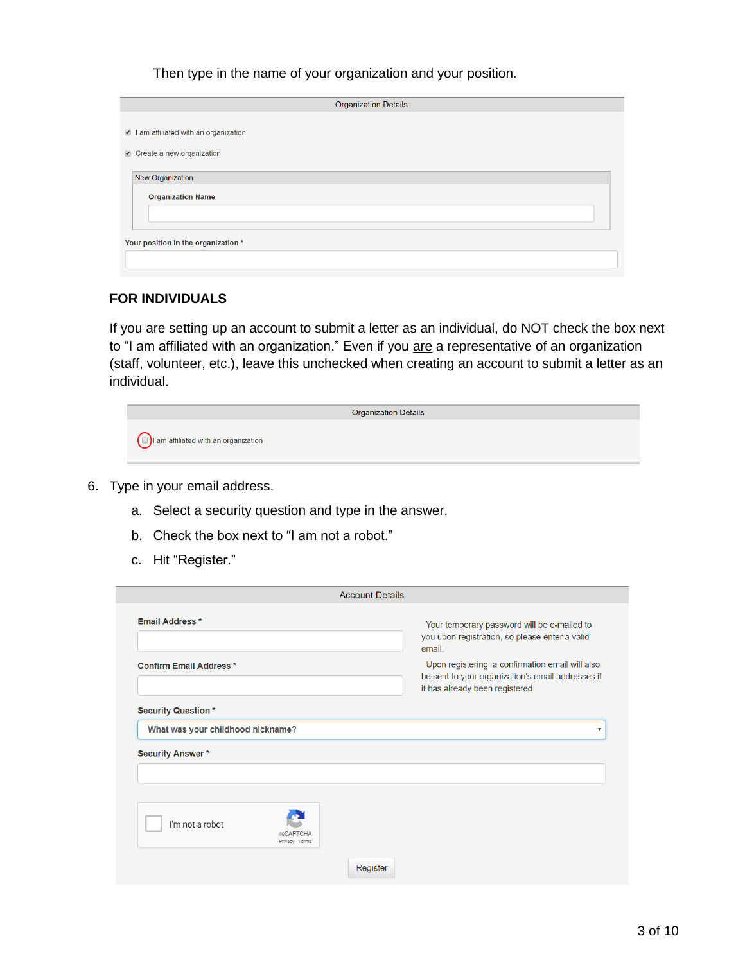Then type in the name of your organization and your position.

| <b>Organization Details</b>          |  |
|--------------------------------------|--|
|                                      |  |
| I am affiliated with an organization |  |
| Create a new organization            |  |
|                                      |  |
| New Organization                     |  |
| <b>Organization Name</b>             |  |
|                                      |  |
|                                      |  |
| Your position in the organization *  |  |
|                                      |  |
|                                      |  |

#### **FOR INDIVIDUALS**

If you are setting up an account to submit a letter as an individual, do NOT check the box next to "I am affiliated with an organization." Even if you are a representative of an organization (staff, volunteer, etc.), leave this unchecked when creating an account to submit a letter as an individual.

|                                                          | <b>Organization Details</b> |
|----------------------------------------------------------|-----------------------------|
| $\left(\Box\right)$ I am affiliated with an organization |                             |

- 6. Type in your email address.
	- a. Select a security question and type in the answer.
	- b. Check the box next to "I am not a robot."
	- c. Hit "Register."

|                                                        | <b>Account Details</b> |                                                                                                                                          |  |
|--------------------------------------------------------|------------------------|------------------------------------------------------------------------------------------------------------------------------------------|--|
| Email Address *                                        |                        | Your temporary password will be e-mailed to<br>you upon registration, so please enter a valid<br>email.                                  |  |
| <b>Confirm Email Address *</b>                         |                        | Upon registering, a confirmation email will also<br>be sent to your organization's email addresses if<br>it has already been registered. |  |
| <b>Security Question*</b>                              |                        |                                                                                                                                          |  |
| What was your childhood nickname?                      |                        | ▼                                                                                                                                        |  |
| <b>Security Answer*</b>                                |                        |                                                                                                                                          |  |
|                                                        |                        |                                                                                                                                          |  |
|                                                        |                        |                                                                                                                                          |  |
| I'm not a robot<br><b>reCAPTCHA</b><br>Privacy - Terms |                        |                                                                                                                                          |  |
|                                                        | Register               |                                                                                                                                          |  |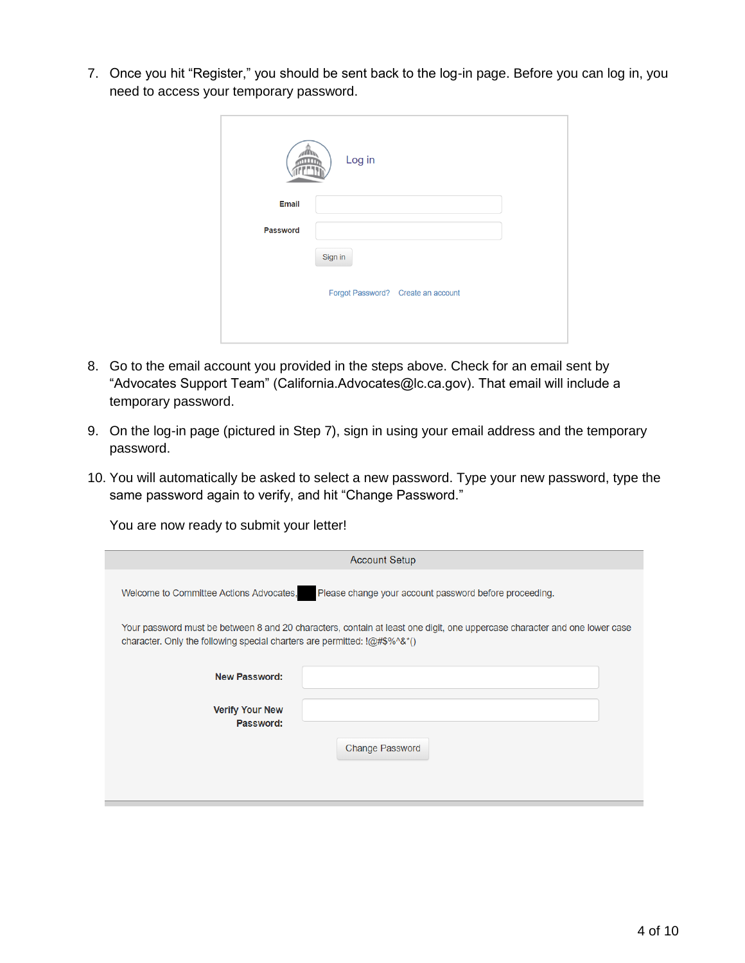7. Once you hit "Register," you should be sent back to the log-in page. Before you can log in, you need to access your temporary password.

|          | Log in                             |
|----------|------------------------------------|
| Email    |                                    |
| Password |                                    |
|          | Sign in                            |
|          | Forgot Password? Create an account |
|          |                                    |

- 8. Go to the email account you provided in the steps above. Check for an email sent by "Advocates Support Team" (California.Advocates@lc.ca.gov). That email will include a temporary password.
- 9. On the log-in page (pictured in Step 7), sign in using your email address and the temporary password.
- 10. You will automatically be asked to select a new password. Type your new password, type the same password again to verify, and hit "Change Password."

You are now ready to submit your letter!

| <b>Account Setup</b>                                                                                                                                                                                               |                        |  |  |
|--------------------------------------------------------------------------------------------------------------------------------------------------------------------------------------------------------------------|------------------------|--|--|
| Please change your account password before proceeding.<br>Welcome to Committee Actions Advocates,                                                                                                                  |                        |  |  |
| Your password must be between 8 and 20 characters, contain at least one digit, one uppercase character and one lower case<br>character. Only the following special charters are permitted: $(QH)$ $\otimes$ $(2H)$ |                        |  |  |
| <b>New Password:</b>                                                                                                                                                                                               |                        |  |  |
| <b>Verify Your New</b><br>Password:                                                                                                                                                                                |                        |  |  |
|                                                                                                                                                                                                                    | <b>Change Password</b> |  |  |
|                                                                                                                                                                                                                    |                        |  |  |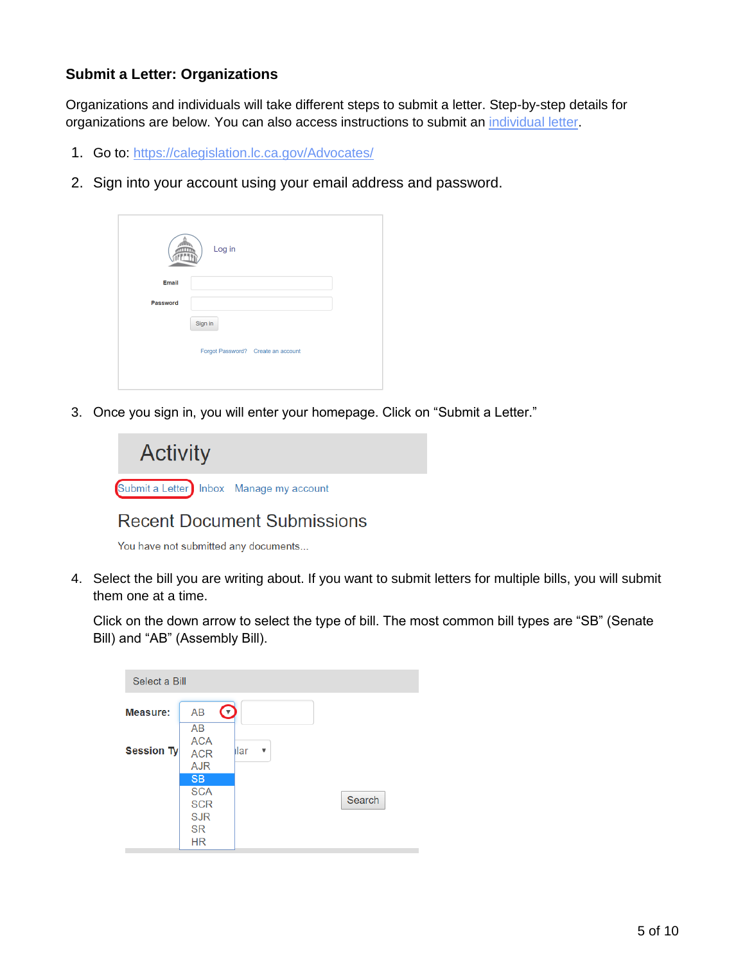## **Submit a Letter: Organizations**

Organizations and individuals will take different steps to submit a letter. Step-by-step details for organizations are below. You can also access instructions to submit an [individual letter.](#page-7-0)

- 1. Go to:<https://calegislation.lc.ca.gov/Advocates/>
- 2. Sign into your account using your email address and password.

|                 | Log in                             |
|-----------------|------------------------------------|
| Email           |                                    |
| <b>Password</b> |                                    |
|                 | Sign in                            |
|                 | Forgot Password? Create an account |
|                 |                                    |

3. Once you sign in, you will enter your homepage. Click on "Submit a Letter."



## **Recent Document Submissions**

You have not submitted any documents...

4. Select the bill you are writing about. If you want to submit letters for multiple bills, you will submit them one at a time.

Click on the down arrow to select the type of bill. The most common bill types are "SB" (Senate Bill) and "AB" (Assembly Bill).

| Select a Bill   |                                                                               |           |        |
|-----------------|-------------------------------------------------------------------------------|-----------|--------|
| <b>Measure:</b> | <b>AB</b><br>Ø                                                                |           |        |
| Session Ty      | AB<br><b>ACA</b><br><b>ACR</b><br><b>AJR</b>                                  | llar<br>▼ |        |
|                 | <b>SB</b><br><b>SCA</b><br><b>SCR</b><br><b>SJR</b><br><b>SR</b><br><b>HR</b> |           | Search |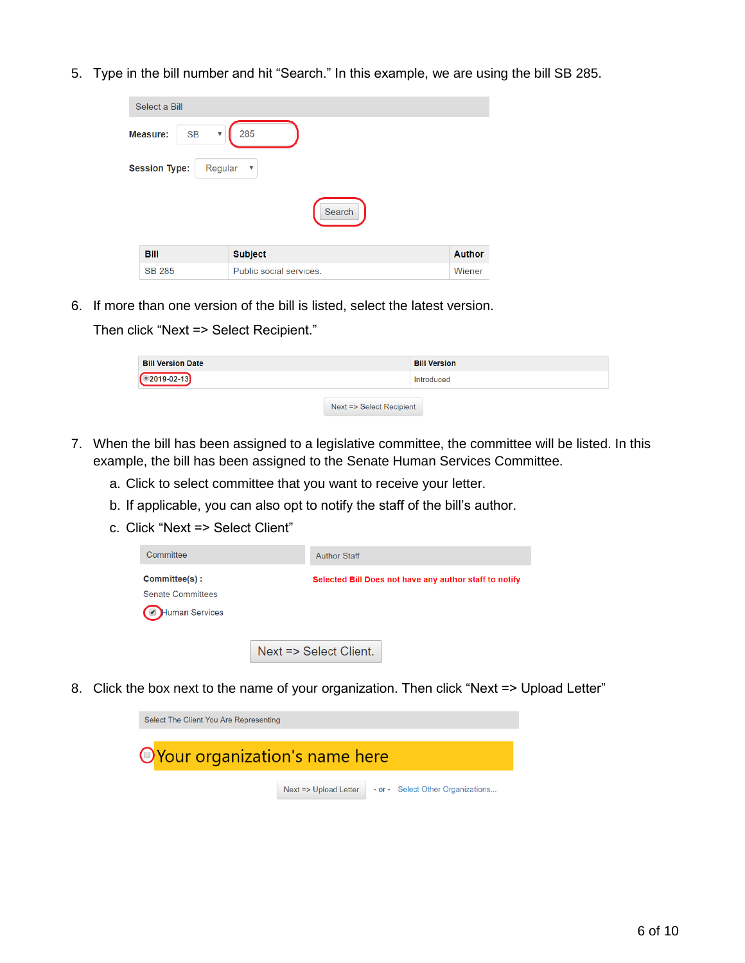5. Type in the bill number and hit "Search." In this example, we are using the bill SB 285.

| Select a Bill                                    |                         |               |
|--------------------------------------------------|-------------------------|---------------|
| <b>SB</b><br>Measure:<br>$\overline{\mathbf{v}}$ | 285                     |               |
| <b>Session Type:</b><br>Regular                  | $\overline{\mathbf v}$  |               |
|                                                  | Search                  |               |
| <b>Bill</b>                                      | <b>Subject</b>          | <b>Author</b> |
| <b>SB 285</b>                                    | Public social services. | Wiener        |

6. If more than one version of the bill is listed, select the latest version.

Then click "Next => Select Recipient."

| <b>Bill Version Date</b> |                          | <b>Bill Version</b> |
|--------------------------|--------------------------|---------------------|
| $\bigcirc$ 2019-02-13    |                          | Introduced          |
|                          | Next => Select Recipient |                     |

- 7. When the bill has been assigned to a legislative committee, the committee will be listed. In this example, the bill has been assigned to the Senate Human Services Committee.
	- a. Click to select committee that you want to receive your letter.
	- b. If applicable, you can also opt to notify the staff of the bill's author.
	- c. Click "Next => Select Client"

| Committee                                 | <b>Author Staff</b>                                    |
|-------------------------------------------|--------------------------------------------------------|
| Committee(s):<br><b>Senate Committees</b> | Selected Bill Does not have any author staff to notify |
| <b>Human Services</b>                     |                                                        |
|                                           | Next => Select Client.                                 |

8. Click the box next to the name of your organization. Then click "Next => Upload Letter"

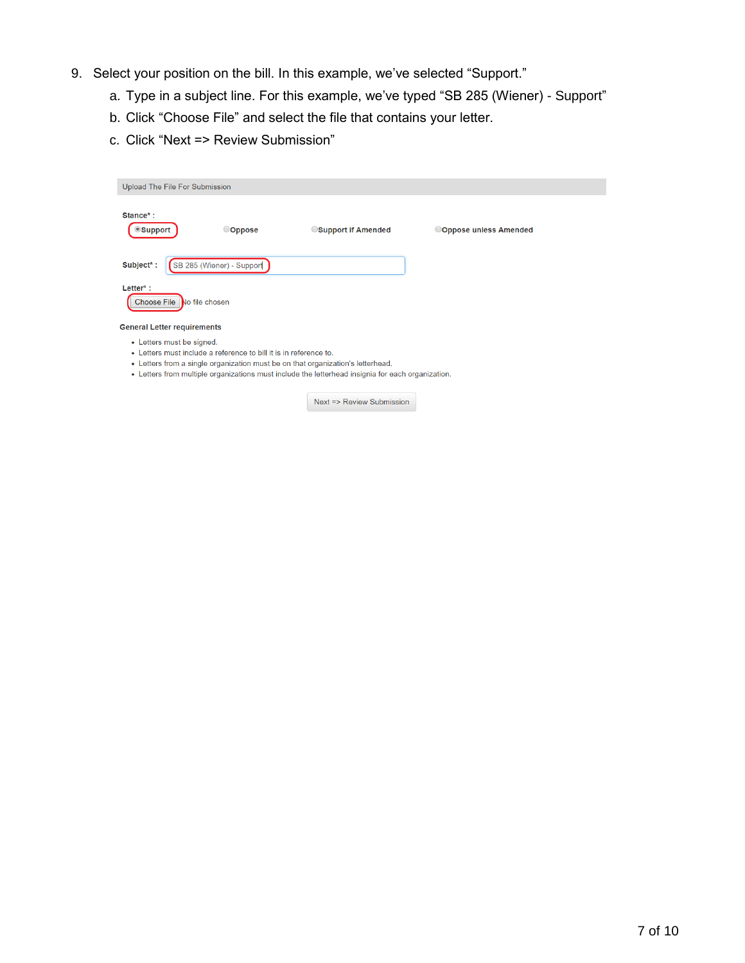- 9. Select your position on the bill. In this example, we've selected "Support."
	- a. Type in a subject line. For this example, we've typed "SB 285 (Wiener) Support"
	- b. Click "Choose File" and select the file that contains your letter.
	- c. Click "Next => Review Submission"

| Upload The File For Submission                                                                                                                                                                                                                                                         |  |                           |                    |                       |
|----------------------------------------------------------------------------------------------------------------------------------------------------------------------------------------------------------------------------------------------------------------------------------------|--|---------------------------|--------------------|-----------------------|
| Stance*:<br>● Support                                                                                                                                                                                                                                                                  |  | Oppose                    | Support if Amended | Oppose unless Amended |
| Subject*:                                                                                                                                                                                                                                                                              |  | SB 285 (Wiener) - Support |                    |                       |
| $Letter^*$ :<br><b>Choose File</b><br>No file chosen                                                                                                                                                                                                                                   |  |                           |                    |                       |
| <b>General Letter requirements</b>                                                                                                                                                                                                                                                     |  |                           |                    |                       |
| • Letters must be signed.<br>• Letters must include a reference to bill it is in reference to.<br>• Letters from a single organization must be on that organization's letterhead.<br>• Letters from multiple organizations must include the letterhead insignia for each organization. |  |                           |                    |                       |

Next => Review Submission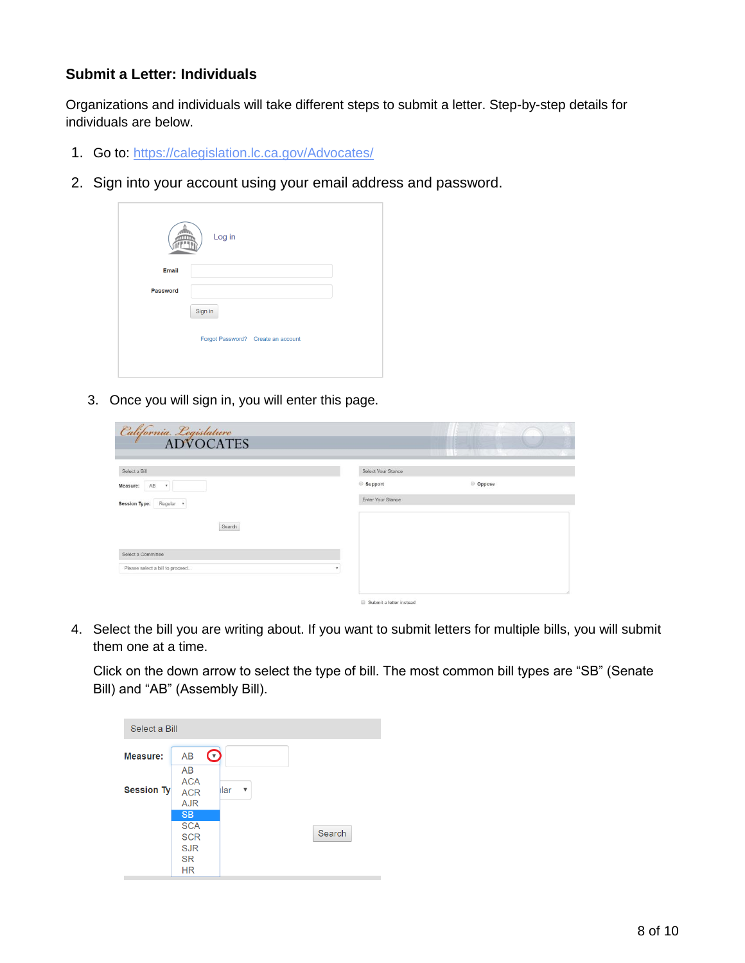## <span id="page-7-0"></span>**Submit a Letter: Individuals**

Organizations and individuals will take different steps to submit a letter. Step-by-step details for individuals are below.

- 1. Go to:<https://calegislation.lc.ca.gov/Advocates/>
- 2. Sign into your account using your email address and password.



3. Once you will sign in, you will enter this page.

| <i>California. Legislature</i><br>ADVOCATES |                            |          |
|---------------------------------------------|----------------------------|----------|
| Select a Bill                               | Select Your Stance         |          |
| AB.<br>Measure:<br>$\pmb{\tau}$             | Support                    | © Oppose |
| <b>Session Type:</b><br>Regular *           | Enter Your Stance          |          |
| Search                                      |                            |          |
| Select a Committee                          |                            |          |
| Please select a bill to proceed<br>٠        |                            |          |
|                                             | El Submit a latter instead |          |

4. Select the bill you are writing about. If you want to submit letters for multiple bills, you will submit them one at a time.

Click on the down arrow to select the type of bill. The most common bill types are "SB" (Senate Bill) and "AB" (Assembly Bill).

| Select a Bill     |                                                                               |           |        |
|-------------------|-------------------------------------------------------------------------------|-----------|--------|
| <b>Measure:</b>   | <b>AB</b><br>$\mathbf{(\tau)}$<br>AB                                          |           |        |
| <b>Session Ty</b> | <b>ACA</b><br><b>ACR</b><br><b>AJR</b>                                        | ılar<br>▼ |        |
|                   | <b>SB</b><br><b>SCA</b><br><b>SCR</b><br><b>SJR</b><br><b>SR</b><br><b>HR</b> |           | Search |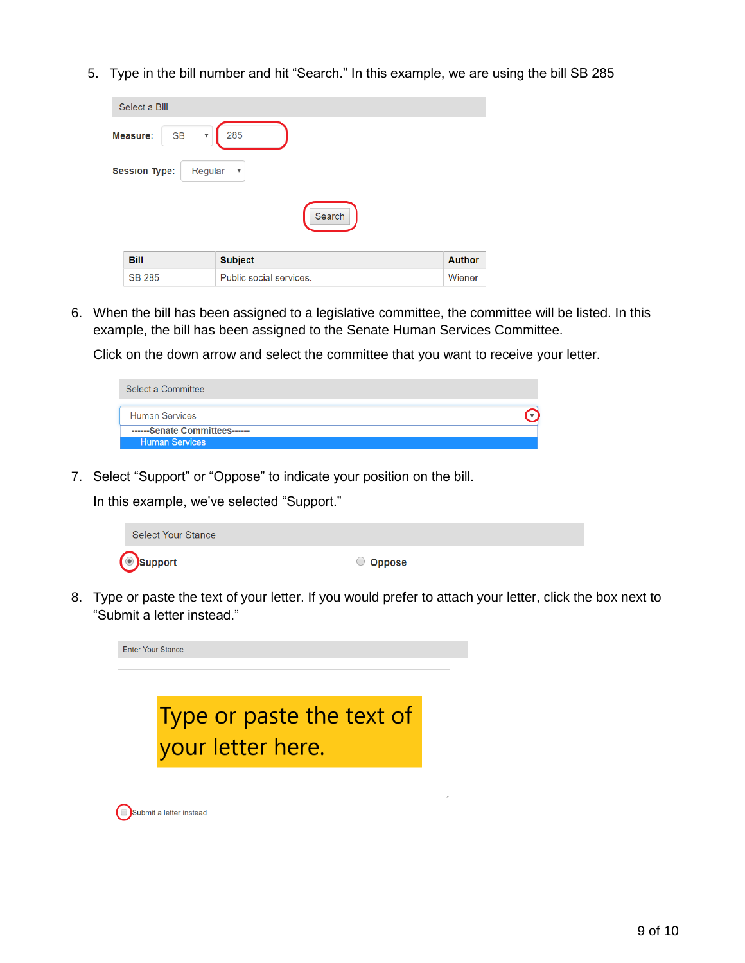5. Type in the bill number and hit "Search." In this example, we are using the bill SB 285

| Select a Bill                                 |                         |               |
|-----------------------------------------------|-------------------------|---------------|
| <b>SB</b><br>Measure:<br>$\blacktriangledown$ | 285                     |               |
| <b>Session Type:</b><br>Regular               | $\boldsymbol{\nabla}$   |               |
|                                               | Search                  |               |
| <b>Bill</b>                                   | <b>Subject</b>          | <b>Author</b> |
| <b>SB 285</b>                                 | Public social services. | Wiener        |

6. When the bill has been assigned to a legislative committee, the committee will be listed. In this example, the bill has been assigned to the Senate Human Services Committee.

Click on the down arrow and select the committee that you want to receive your letter.

| Select a Committee            |  |
|-------------------------------|--|
| <b>Human Services</b>         |  |
| ------Senate Committees------ |  |
| <b>Human Services</b>         |  |

7. Select "Support" or "Oppose" to indicate your position on the bill.

In this example, we've selected "Support."

| <b>Select Your Stance</b> |          |
|---------------------------|----------|
| <b>Support</b>            | O Oppose |

8. Type or paste the text of your letter. If you would prefer to attach your letter, click the box next to "Submit a letter instead."